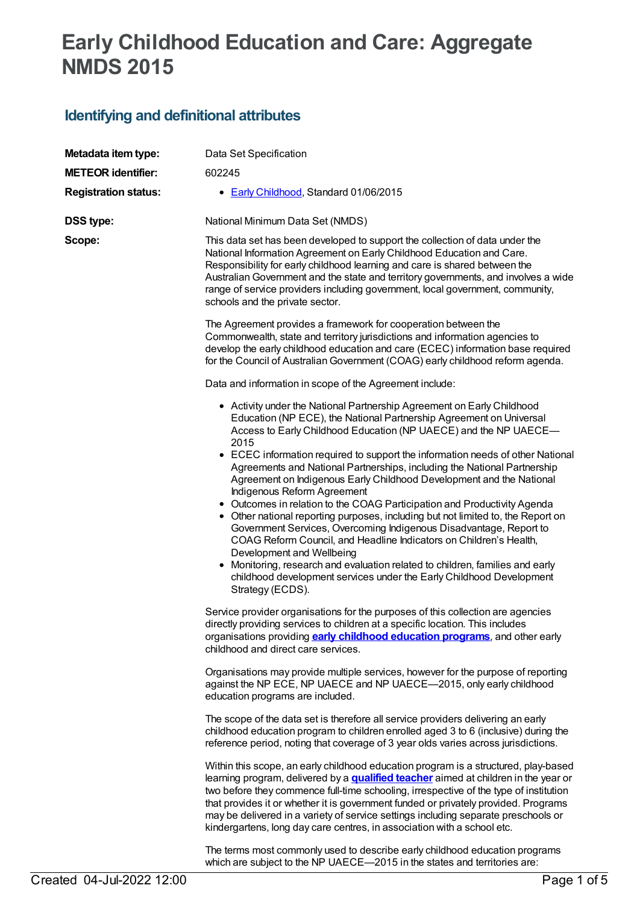## **Early Childhood Education and Care: Aggregate NMDS 2015**

## **Identifying and definitional attributes**

| Metadata item type:         | Data Set Specification                                                                                                                                                                                                                                                                                                                                                                                                                                                                                                                                                                                                                                                                                                                                                                                                                                                                                                                                                                                               |  |
|-----------------------------|----------------------------------------------------------------------------------------------------------------------------------------------------------------------------------------------------------------------------------------------------------------------------------------------------------------------------------------------------------------------------------------------------------------------------------------------------------------------------------------------------------------------------------------------------------------------------------------------------------------------------------------------------------------------------------------------------------------------------------------------------------------------------------------------------------------------------------------------------------------------------------------------------------------------------------------------------------------------------------------------------------------------|--|
| <b>METEOR identifier:</b>   | 602245                                                                                                                                                                                                                                                                                                                                                                                                                                                                                                                                                                                                                                                                                                                                                                                                                                                                                                                                                                                                               |  |
| <b>Registration status:</b> | • Early Childhood, Standard 01/06/2015                                                                                                                                                                                                                                                                                                                                                                                                                                                                                                                                                                                                                                                                                                                                                                                                                                                                                                                                                                               |  |
| <b>DSS type:</b>            | National Minimum Data Set (NMDS)                                                                                                                                                                                                                                                                                                                                                                                                                                                                                                                                                                                                                                                                                                                                                                                                                                                                                                                                                                                     |  |
| Scope:                      | This data set has been developed to support the collection of data under the<br>National Information Agreement on Early Childhood Education and Care.<br>Responsibility for early childhood learning and care is shared between the<br>Australian Government and the state and territory governments, and involves a wide<br>range of service providers including government, local government, community,<br>schools and the private sector.                                                                                                                                                                                                                                                                                                                                                                                                                                                                                                                                                                        |  |
|                             | The Agreement provides a framework for cooperation between the<br>Commonwealth, state and territory jurisdictions and information agencies to<br>develop the early childhood education and care (ECEC) information base required<br>for the Council of Australian Government (COAG) early childhood reform agenda.                                                                                                                                                                                                                                                                                                                                                                                                                                                                                                                                                                                                                                                                                                   |  |
|                             | Data and information in scope of the Agreement include:                                                                                                                                                                                                                                                                                                                                                                                                                                                                                                                                                                                                                                                                                                                                                                                                                                                                                                                                                              |  |
|                             | • Activity under the National Partnership Agreement on Early Childhood<br>Education (NP ECE), the National Partnership Agreement on Universal<br>Access to Early Childhood Education (NP UAECE) and the NP UAECE-<br>2015<br>• ECEC information required to support the information needs of other National<br>Agreements and National Partnerships, including the National Partnership<br>Agreement on Indigenous Early Childhood Development and the National<br>Indigenous Reform Agreement<br>• Outcomes in relation to the COAG Participation and Productivity Agenda<br>• Other national reporting purposes, including but not limited to, the Report on<br>Government Services, Overcoming Indigenous Disadvantage, Report to<br>COAG Reform Council, and Headline Indicators on Children's Health,<br>Development and Wellbeing<br>• Monitoring, research and evaluation related to children, families and early<br>childhood development services under the Early Childhood Development<br>Strategy (ECDS). |  |
|                             | Service provider organisations for the purposes of this collection are agencies<br>directly providing services to children at a specific location. This includes<br>organisations providing <b>early childhood education programs</b> , and other early<br>childhood and direct care services.                                                                                                                                                                                                                                                                                                                                                                                                                                                                                                                                                                                                                                                                                                                       |  |
|                             | Organisations may provide multiple services, however for the purpose of reporting<br>against the NP ECE, NP UAECE and NP UAECE-2015, only early childhood<br>education programs are included.                                                                                                                                                                                                                                                                                                                                                                                                                                                                                                                                                                                                                                                                                                                                                                                                                        |  |
|                             | The scope of the data set is therefore all service providers delivering an early<br>childhood education program to children enrolled aged 3 to 6 (inclusive) during the<br>reference period, noting that coverage of 3 year olds varies across jurisdictions.                                                                                                                                                                                                                                                                                                                                                                                                                                                                                                                                                                                                                                                                                                                                                        |  |
|                             | Within this scope, an early childhood education program is a structured, play-based<br>learning program, delivered by a <b>qualified teacher</b> aimed at children in the year or<br>two before they commence full-time schooling, irrespective of the type of institution<br>that provides it or whether it is government funded or privately provided. Programs<br>may be delivered in a variety of service settings including separate preschools or<br>kindergartens, long day care centres, in association with a school etc.                                                                                                                                                                                                                                                                                                                                                                                                                                                                                   |  |
|                             | The terms most commonly used to describe early childhood education programs                                                                                                                                                                                                                                                                                                                                                                                                                                                                                                                                                                                                                                                                                                                                                                                                                                                                                                                                          |  |

which are subject to the NP UAECE—2015 in the states and territories are: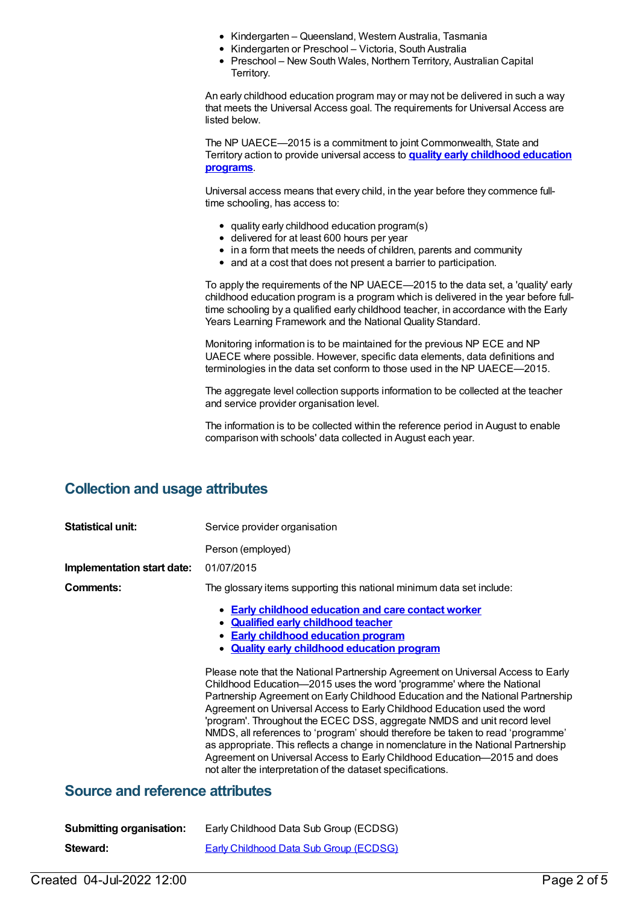- Kindergarten Queensland, Western Australia, Tasmania
- Kindergarten or Preschool Victoria, South Australia
- Preschool New South Wales, Northern Territory, Australian Capital Territory.

An early childhood education program may or may not be delivered in such a way that meets the Universal Access goal. The requirements for Universal Access are listed below.

The NP UAECE—2015 is a commitment to joint Commonwealth, State and Territory action to provide universal access to **quality early [childhood](https://meteor.aihw.gov.au/content/606533) education programs**.

Universal access means that every child, in the year before they commence fulltime schooling, has access to:

- quality early childhood education program(s)
- delivered for at least 600 hours per year
- in a form that meets the needs of children, parents and community
- and at a cost that does not present a barrier to participation.

To apply the requirements of the NP UAECE—2015 to the data set, a 'quality' early childhood education program is a program which is delivered in the year before fulltime schooling by a qualified early childhood teacher, in accordance with the Early Years Learning Framework and the National Quality Standard.

Monitoring information is to be maintained for the previous NP ECE and NP UAECE where possible. However, specific data elements, data definitions and terminologies in the data set conform to those used in the NP UAECE—2015.

The aggregate level collection supports information to be collected at the teacher and service provider organisation level.

The information is to be collected within the reference period in August to enable comparison with schools' data collected in August each year.

## **Collection and usage attributes**

| <b>Statistical unit:</b>               | Service provider organisation                                                                                                                                                                                                                                                                                                                                                                                                                                                                                                                                                                                                                                                                                            |  |  |
|----------------------------------------|--------------------------------------------------------------------------------------------------------------------------------------------------------------------------------------------------------------------------------------------------------------------------------------------------------------------------------------------------------------------------------------------------------------------------------------------------------------------------------------------------------------------------------------------------------------------------------------------------------------------------------------------------------------------------------------------------------------------------|--|--|
|                                        | Person (employed)                                                                                                                                                                                                                                                                                                                                                                                                                                                                                                                                                                                                                                                                                                        |  |  |
| Implementation start date:             | 01/07/2015                                                                                                                                                                                                                                                                                                                                                                                                                                                                                                                                                                                                                                                                                                               |  |  |
| Comments:                              | The glossary items supporting this national minimum data set include:                                                                                                                                                                                                                                                                                                                                                                                                                                                                                                                                                                                                                                                    |  |  |
|                                        | • Early childhood education and care contact worker<br>• Qualified early childhood teacher<br>• Early childhood education program<br>• Quality early childhood education program                                                                                                                                                                                                                                                                                                                                                                                                                                                                                                                                         |  |  |
|                                        | Please note that the National Partnership Agreement on Universal Access to Early<br>Childhood Education-2015 uses the word 'programme' where the National<br>Partnership Agreement on Early Childhood Education and the National Partnership<br>Agreement on Universal Access to Early Childhood Education used the word<br>'program'. Throughout the ECEC DSS, aggregate NMDS and unit record level<br>NMDS, all references to 'program' should therefore be taken to read 'programme'<br>as appropriate. This reflects a change in nomenclature in the National Partnership<br>Agreement on Universal Access to Early Childhood Education-2015 and does<br>not alter the interpretation of the dataset specifications. |  |  |
| <b>Source and reference attributes</b> |                                                                                                                                                                                                                                                                                                                                                                                                                                                                                                                                                                                                                                                                                                                          |  |  |

| <b>Submitting organisation:</b> | Early Childhood Data Sub Group (ECDSG)        |
|---------------------------------|-----------------------------------------------|
| Steward:                        | <b>Early Childhood Data Sub Group (ECDSG)</b> |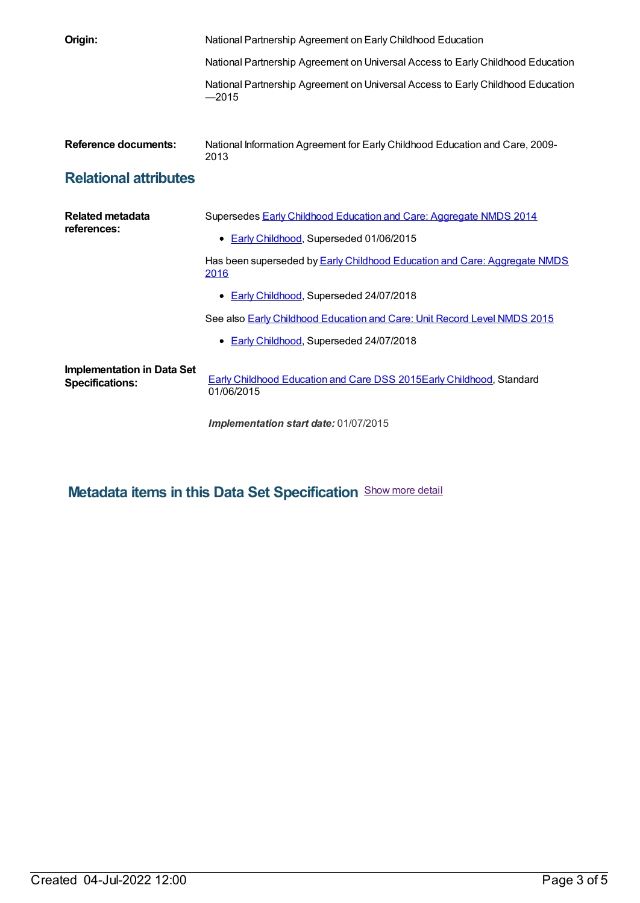| Origin:                                                     | National Partnership Agreement on Early Childhood Education                                                           |  |
|-------------------------------------------------------------|-----------------------------------------------------------------------------------------------------------------------|--|
|                                                             | National Partnership Agreement on Universal Access to Early Childhood Education                                       |  |
|                                                             | National Partnership Agreement on Universal Access to Early Childhood Education<br>$-2015$                            |  |
| <b>Reference documents:</b>                                 | National Information Agreement for Early Childhood Education and Care, 2009-<br>2013                                  |  |
| <b>Relational attributes</b>                                |                                                                                                                       |  |
| <b>Related metadata</b><br>references:                      | Supersedes <b>Early Childhood Education and Care: Aggregate NMDS 2014</b><br>• Early Childhood, Superseded 01/06/2015 |  |
|                                                             | Has been superseded by <b>Early Childhood Education and Care: Aggregate NMDS</b><br>2016                              |  |
|                                                             | • Early Childhood, Superseded 24/07/2018                                                                              |  |
|                                                             | See also <b>Early Childhood Education and Care: Unit Record Level NMDS 2015</b>                                       |  |
|                                                             | • Early Childhood, Superseded 24/07/2018                                                                              |  |
| <b>Implementation in Data Set</b><br><b>Specifications:</b> | <b>Early Childhood Education and Care DSS 2015Early Childhood, Standard</b><br>01/06/2015                             |  |

*Implementation start date:* 01/07/2015

**Metadata items in this Data Set Specification** Show more detail